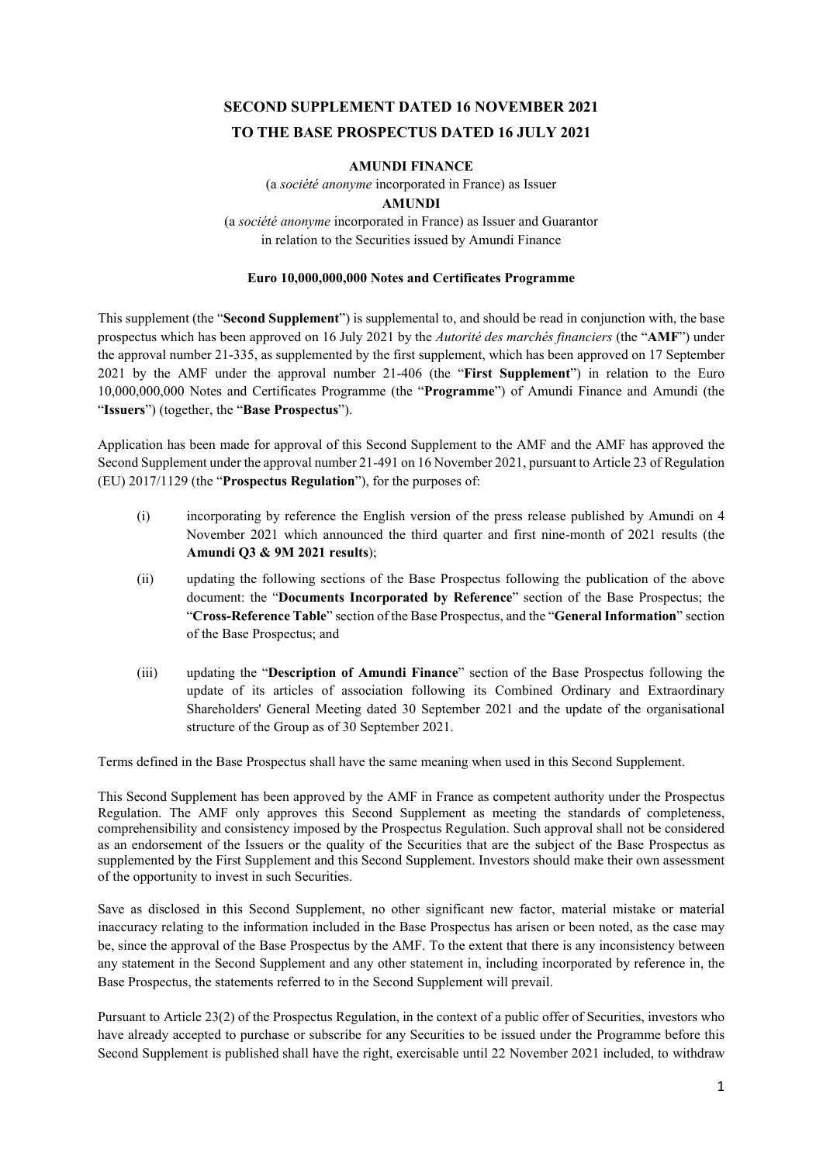# **SECOND SUPPLEMENT DATED 16 NOVEMBER 2021 TO THE BASE PROSPECTUS DATED 16 JULY 2021**

# **AMUNDI FINANCE**

(a *société anonyme* incorporated in France) as Issuer

# **AMUNDI**

(a *société anonyme* incorporated in France) as Issuer and Guarantor in relation to the Securities issued by Amundi Finance

# **Euro 10,000,000,000 Notes and Certificates Programme**

This supplement (the "**Second Supplement**") is supplemental to, and should be read in conjunction with, the base prospectus which has been approved on 16 July 2021 by the *Autorité des marchés financiers* (the "**AMF**") under the approval number 21-335, as supplemented by the first supplement, which has been approved on 17 September 2021 by the AMF under the approval number 21-406 (the "**First Supplement**") in relation to the Euro 10,000,000,000 Notes and Certificates Programme (the "**Programme**") of Amundi Finance and Amundi (the "**Issuers**") (together, the "**Base Prospectus**").

Application has been made for approval of this Second Supplement to the AMF and the AMF has approved the Second Supplement under the approval number 21-491 on 16 November 2021, pursuant to Article 23 of Regulation (EU) 2017/1129 (the "**Prospectus Regulation**"), for the purposes of:

- (i) incorporating by reference the English version of the press release published by Amundi on 4 November 2021 which announced the third quarter and first nine-month of 2021 results (the **Amundi Q3 & 9M 2021 results**);
- (ii) updating the following sections of the Base Prospectus following the publication of the above document: the "**Documents Incorporated by Reference**" section of the Base Prospectus; the "**Cross-Reference Table**" section of the Base Prospectus, and the "**General Information**" section of the Base Prospectus; and
- (iii) updating the "**Description of Amundi Finance**" section of the Base Prospectus following the update of its articles of association following its Combined Ordinary and Extraordinary Shareholders' General Meeting dated 30 September 2021 and the update of the organisational structure of the Group as of 30 September 2021.

Terms defined in the Base Prospectus shall have the same meaning when used in this Second Supplement.

This Second Supplement has been approved by the AMF in France as competent authority under the Prospectus Regulation. The AMF only approves this Second Supplement as meeting the standards of completeness, comprehensibility and consistency imposed by the Prospectus Regulation. Such approval shall not be considered as an endorsement of the Issuers or the quality of the Securities that are the subject of the Base Prospectus as supplemented by the First Supplement and this Second Supplement. Investors should make their own assessment of the opportunity to invest in such Securities.

Save as disclosed in this Second Supplement, no other significant new factor, material mistake or material inaccuracy relating to the information included in the Base Prospectus has arisen or been noted, as the case may be, since the approval of the Base Prospectus by the AMF. To the extent that there is any inconsistency between any statement in the Second Supplement and any other statement in, including incorporated by reference in, the Base Prospectus, the statements referred to in the Second Supplement will prevail.

Pursuant to Article 23(2) of the Prospectus Regulation, in the context of a public offer of Securities, investors who have already accepted to purchase or subscribe for any Securities to be issued under the Programme before this Second Supplement is published shall have the right, exercisable until 22 November 2021 included, to withdraw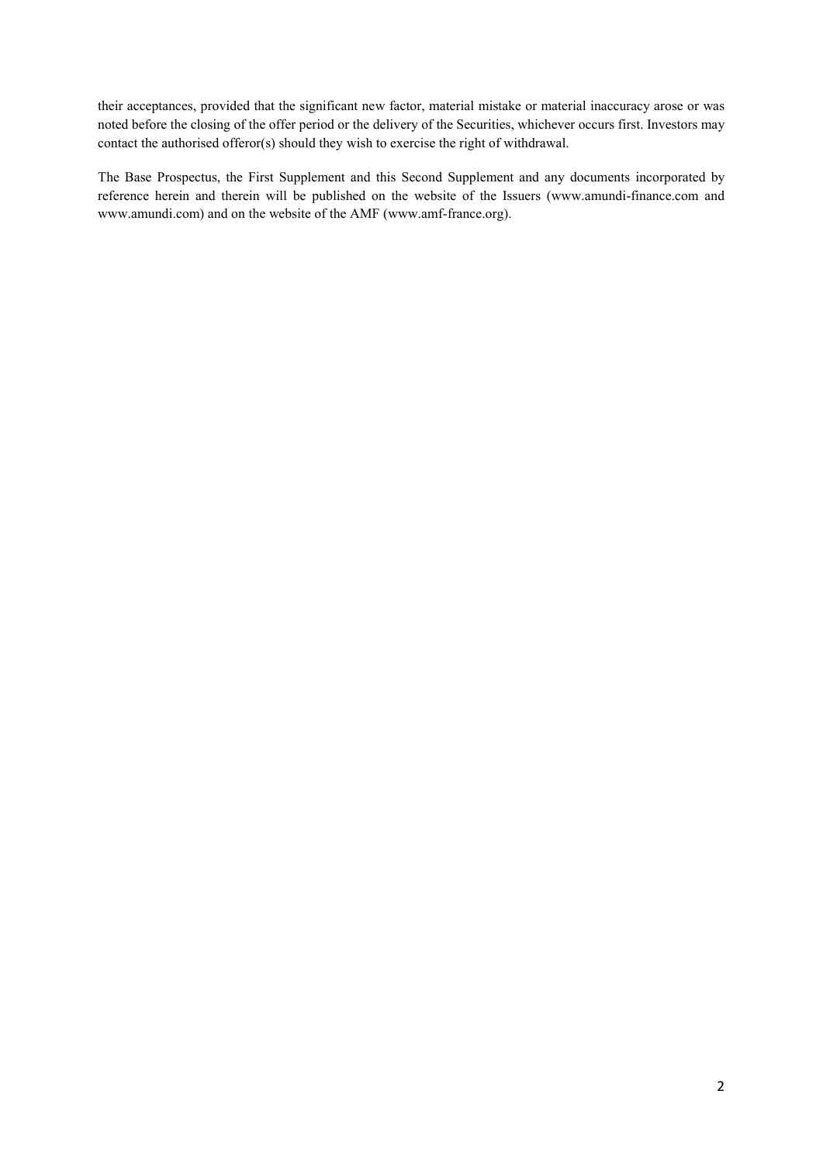their acceptances, provided that the significant new factor, material mistake or material inaccuracy arose or was noted before the closing of the offer period or the delivery of the Securities, whichever occurs first. Investors may contact the authorised offeror(s) should they wish to exercise the right of withdrawal.

The Base Prospectus, the First Supplement and this Second Supplement and any documents incorporated by reference herein and therein will be published on the website of the Issuers (www.amundi-finance.com and www.amundi.com) and on the website of the AMF (www.amf-france.org).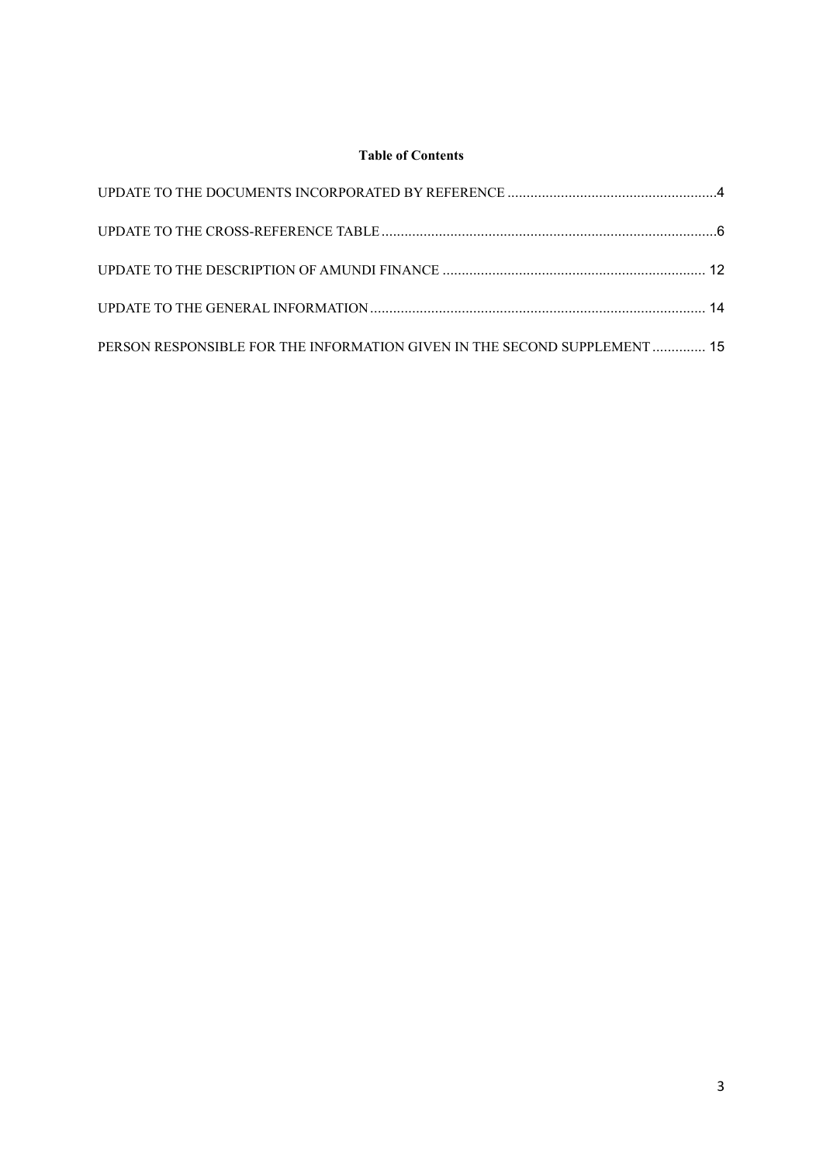# **Table of Contents**

| PERSON RESPONSIBLE FOR THE INFORMATION GIVEN IN THE SECOND SUPPLEMENT  15 |  |
|---------------------------------------------------------------------------|--|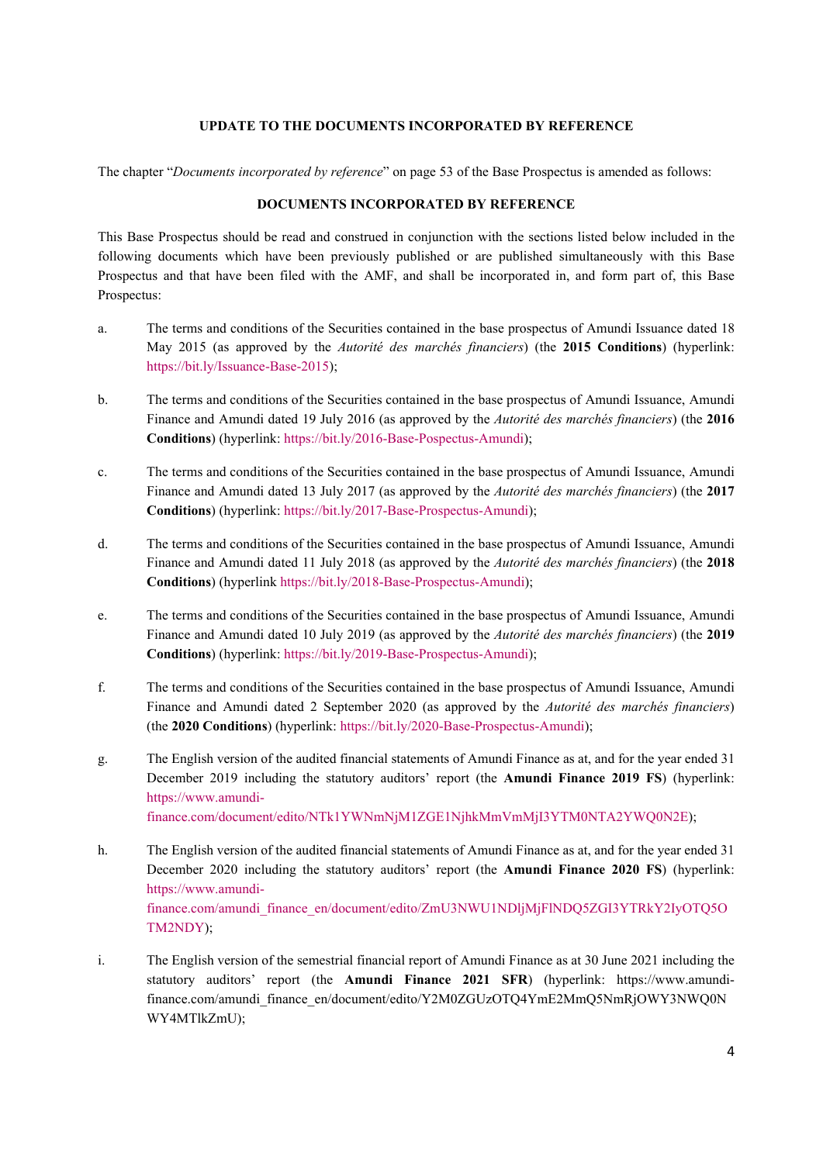### **UPDATE TO THE DOCUMENTS INCORPORATED BY REFERENCE**

<span id="page-3-0"></span>The chapter "*Documents incorporated by reference*" on page 53 of the Base Prospectus is amended as follows:

## **DOCUMENTS INCORPORATED BY REFERENCE**

This Base Prospectus should be read and construed in conjunction with the sections listed below included in the following documents which have been previously published or are published simultaneously with this Base Prospectus and that have been filed with the AMF, and shall be incorporated in, and form part of, this Base Prospectus:

- a. The terms and conditions of the Securities contained in the base prospectus of Amundi Issuance dated 18 May 2015 (as approved by the *Autorité des marchés financiers*) (the **2015 Conditions**) (hyperlink: <https://bit.ly/Issuance-Base-2015>);
- b. The terms and conditions of the Securities contained in the base prospectus of Amundi Issuance, Amundi Finance and Amundi dated 19 July 2016 (as approved by the *Autorité des marchés financiers*) (the **2016 Conditions**) (hyperlink: <https://bit.ly/2016-Base-Pospectus-Amundi>);
- c. The terms and conditions of the Securities contained in the base prospectus of Amundi Issuance, Amundi Finance and Amundi dated 13 July 2017 (as approved by the *Autorité des marchés financiers*) (the **2017 Conditions**) (hyperlink: [https://bit.ly/2017-Base-Prospectus-Amundi\)](https://bit.ly/2017-Base-Prospectus-Amundi);
- d. The terms and conditions of the Securities contained in the base prospectus of Amundi Issuance, Amundi Finance and Amundi dated 11 July 2018 (as approved by the *Autorité des marchés financiers*) (the **2018 Conditions**) (hyperlink [https://bit.ly/2018-Base-Prospectus-Amundi\)](https://bit.ly/2018-Base-Prospectus-Amundi);
- e. The terms and conditions of the Securities contained in the base prospectus of Amundi Issuance, Amundi Finance and Amundi dated 10 July 2019 (as approved by the *Autorité des marchés financiers*) (the **2019 Conditions**) (hyperlink: [https://bit.ly/2019-Base-Prospectus-Amundi\)](https://bit.ly/2019-Base-Prospectus-Amundi);
- f. The terms and conditions of the Securities contained in the base prospectus of Amundi Issuance, Amundi Finance and Amundi dated 2 September 2020 (as approved by the *Autorité des marchés financiers*) (the **2020 Conditions**) (hyperlink: <https://bit.ly/2020-Base-Prospectus-Amundi>);
- g. The English version of the audited financial statements of Amundi Finance as at, and for the year ended 31 December 2019 including the statutory auditors' report (the **Amundi Finance 2019 FS**) (hyperlink: https://www.amundi[finance.com/docume](https://www.amundi-finance.com/document/edito/NTk1YWNmNjM1ZGE1NjhkMmVmMjI3YTM0NTA2YWQ0N2E)nt/edito/NTk1YWNmNjM1ZGE1NjhkMmVmMjI3YTM0NTA2YWQ0N2E);
- h. The English version of the audited financial statements of Amundi Finance as at, and for the year ended 31 [December 2020 inc](https://www.amundi-finance.com/amundi_finance_en/document/edito/ZmU3NWU1NDljMjFlNDQ5ZGI3YTRkY2IyOTQ5OTM2NDY)luding the statutory auditors' report (the **Amundi Finance 2020 FS**) (hyperlink: https://www.amundifinance.com/amundi\_finance\_en/document/edito/ZmU3NWU1NDljMjFlNDQ5ZGI3YTRkY2IyOTQ5O TM2NDY);
- i. The English version of the semestrial financial report of Amundi Finance as at 30 June 2021 including the [statutory auditors' report \(the](https://www.amundi-finance.com/amundi_finance_en/document/edito/Y2M0ZGUzOTQ4YmE2MmQ5NmRjOWY3NWQ0NWY4MTlkZmU) **Amundi Finance 2021 SFR**) (hyperlink: https://www.amundifinance.com/amundi\_finance\_en/document/edito/Y2M0ZGUzOTQ4YmE2MmQ5NmRjOWY3NWQ0N WY4MTlkZmU);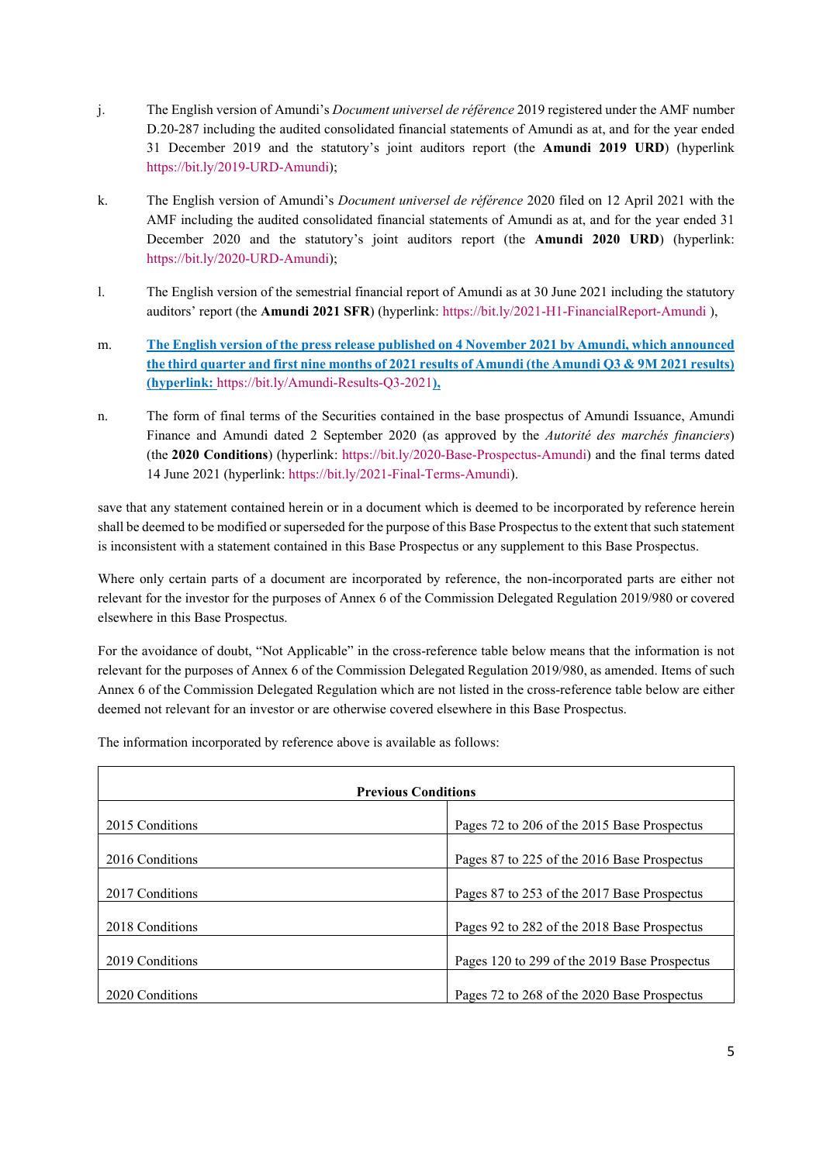- j. The English version of Amundi's *Document universel de référence* 2019 registered under the AMF number D.20-287 including the audited consolidated financial statements of Amundi as at, and for the year ended [31 December 2019 and the sta](https://bit.ly/2019-URD-Amundi)tutory's joint auditors report (the **Amundi 2019 URD**) (hyperlink https://bit.ly/2019-URD-Amundi);
- k. The English version of Amundi's *Document universel de référence* 2020 filed on 12 April 2021 with the AMF including the audited consolidated financial statements of Amundi as at, and for the year ended 31 December 2020 and the statutory's joint auditors report (the **Amundi 2020 URD**) (hyperlink: <https://bit.ly/2020-URD-Amundi>);
- l. The English version of the semestrial financial report of Amundi as at 30 June 2021 including the statutory auditors' report (the **Amundi 2021 SFR**) (hyperlink:<https://bit.ly/2021-H1-FinancialReport-Amundi> ),
- m. **The English version of the press release published on 4 November 2021 by Amundi, which announced the third quarter and first nine months of 2021 results of Amundi (the Amundi Q3 & 9M 2021 results) (hyperlink:** <https://bit.ly/Amundi-Results-Q3-2021>**),**
- n. The form of final terms of the Securities contained in the base prospectus of Amundi Issuance, Amundi Finance and Amundi dated 2 September 2020 (as approved by the *Autorité des marchés financiers*) (the **2020 Conditions**) (hyperlink: <https://bit.ly/2020-Base-Prospectus-Amundi>) and the final terms dated 14 June 2021 (hyperlink: <https://bit.ly/2021-Final-Terms-Amundi>).

save that any statement contained herein or in a document which is deemed to be incorporated by reference herein shall be deemed to be modified or superseded for the purpose of this Base Prospectus to the extent that such statement is inconsistent with a statement contained in this Base Prospectus or any supplement to this Base Prospectus.

Where only certain parts of a document are incorporated by reference, the non-incorporated parts are either not relevant for the investor for the purposes of Annex 6 of the Commission Delegated Regulation 2019/980 or covered elsewhere in this Base Prospectus.

For the avoidance of doubt, "Not Applicable" in the cross-reference table below means that the information is not relevant for the purposes of Annex 6 of the Commission Delegated Regulation 2019/980, as amended. Items of such Annex 6 of the Commission Delegated Regulation which are not listed in the cross-reference table below are either deemed not relevant for an investor or are otherwise covered elsewhere in this Base Prospectus.

The information incorporated by reference above is available as follows:

| <b>Previous Conditions</b> |                                              |
|----------------------------|----------------------------------------------|
| 2015 Conditions            | Pages 72 to 206 of the 2015 Base Prospectus  |
| 2016 Conditions            | Pages 87 to 225 of the 2016 Base Prospectus  |
| 2017 Conditions            | Pages 87 to 253 of the 2017 Base Prospectus  |
| 2018 Conditions            | Pages 92 to 282 of the 2018 Base Prospectus  |
| 2019 Conditions            | Pages 120 to 299 of the 2019 Base Prospectus |
| 2020 Conditions            | Pages 72 to 268 of the 2020 Base Prospectus  |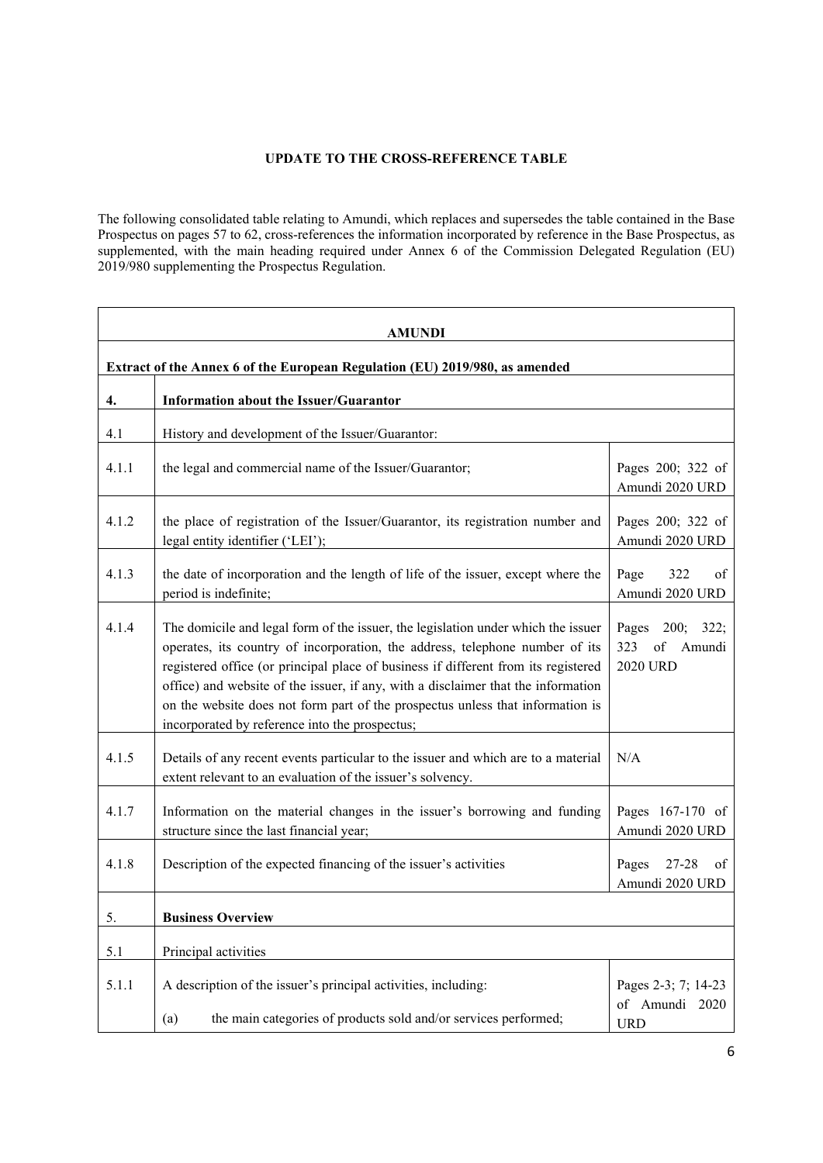# **UPDATE TO THE CROSS-REFERENCE TABLE**

<span id="page-5-0"></span>The following consolidated table relating to Amundi, which replaces and supersedes the table contained in the Base Prospectus on pages 57 to 62, cross-references the information incorporated by reference in the Base Prospectus, as supplemented, with the main heading required under Annex 6 of the Commission Delegated Regulation (EU) 2019/980 supplementing the Prospectus Regulation.

|       | <b>AMUNDI</b>                                                                                                                                                                                                                                                                                                                                                                                                                                                                    |                                                           |
|-------|----------------------------------------------------------------------------------------------------------------------------------------------------------------------------------------------------------------------------------------------------------------------------------------------------------------------------------------------------------------------------------------------------------------------------------------------------------------------------------|-----------------------------------------------------------|
|       | Extract of the Annex 6 of the European Regulation (EU) 2019/980, as amended                                                                                                                                                                                                                                                                                                                                                                                                      |                                                           |
| 4.    | Information about the Issuer/Guarantor                                                                                                                                                                                                                                                                                                                                                                                                                                           |                                                           |
| 4.1   | History and development of the Issuer/Guarantor:                                                                                                                                                                                                                                                                                                                                                                                                                                 |                                                           |
| 4.1.1 | the legal and commercial name of the Issuer/Guarantor;                                                                                                                                                                                                                                                                                                                                                                                                                           | Pages 200; 322 of<br>Amundi 2020 URD                      |
| 4.1.2 | the place of registration of the Issuer/Guarantor, its registration number and<br>legal entity identifier ('LEI');                                                                                                                                                                                                                                                                                                                                                               | Pages 200; 322 of<br>Amundi 2020 URD                      |
| 4.1.3 | the date of incorporation and the length of life of the issuer, except where the<br>period is indefinite;                                                                                                                                                                                                                                                                                                                                                                        | Page<br>322<br>of<br>Amundi 2020 URD                      |
| 4.1.4 | The domicile and legal form of the issuer, the legislation under which the issuer<br>operates, its country of incorporation, the address, telephone number of its<br>registered office (or principal place of business if different from its registered<br>office) and website of the issuer, if any, with a disclaimer that the information<br>on the website does not form part of the prospectus unless that information is<br>incorporated by reference into the prospectus; | Pages 200; 322;<br>323<br>of<br>Amundi<br><b>2020 URD</b> |
| 4.1.5 | Details of any recent events particular to the issuer and which are to a material<br>extent relevant to an evaluation of the issuer's solvency.                                                                                                                                                                                                                                                                                                                                  | N/A                                                       |
| 4.1.7 | Information on the material changes in the issuer's borrowing and funding<br>structure since the last financial year;                                                                                                                                                                                                                                                                                                                                                            | Pages 167-170 of<br>Amundi 2020 URD                       |
| 4.1.8 | Description of the expected financing of the issuer's activities                                                                                                                                                                                                                                                                                                                                                                                                                 | Pages<br>27-28<br>of<br>Amundi 2020 URD                   |
| 5.    | <b>Business Overview</b>                                                                                                                                                                                                                                                                                                                                                                                                                                                         |                                                           |
| 5.1   | Principal activities                                                                                                                                                                                                                                                                                                                                                                                                                                                             |                                                           |
| 5.1.1 | A description of the issuer's principal activities, including:<br>the main categories of products sold and/or services performed;<br>(a)                                                                                                                                                                                                                                                                                                                                         | Pages 2-3; 7; 14-23<br>of Amundi 2020<br><b>URD</b>       |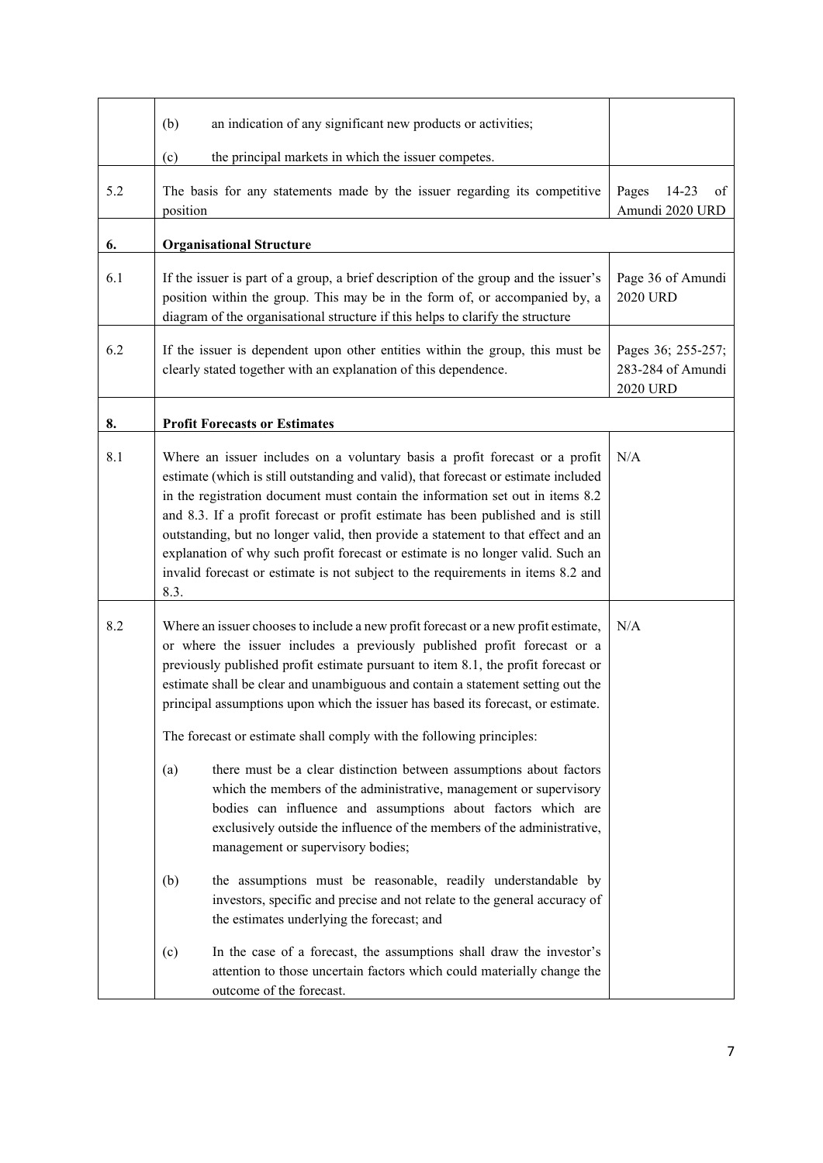|     | an indication of any significant new products or activities;<br>(b)                                                                                                                                                                                                                                                                                                                                                                                                                                                                                                                                                                                                                                                                                                                                                                                                                                                                                                                                                                                                                                                      |                                                            |
|-----|--------------------------------------------------------------------------------------------------------------------------------------------------------------------------------------------------------------------------------------------------------------------------------------------------------------------------------------------------------------------------------------------------------------------------------------------------------------------------------------------------------------------------------------------------------------------------------------------------------------------------------------------------------------------------------------------------------------------------------------------------------------------------------------------------------------------------------------------------------------------------------------------------------------------------------------------------------------------------------------------------------------------------------------------------------------------------------------------------------------------------|------------------------------------------------------------|
|     | (c)<br>the principal markets in which the issuer competes.                                                                                                                                                                                                                                                                                                                                                                                                                                                                                                                                                                                                                                                                                                                                                                                                                                                                                                                                                                                                                                                               |                                                            |
| 5.2 | The basis for any statements made by the issuer regarding its competitive<br>position                                                                                                                                                                                                                                                                                                                                                                                                                                                                                                                                                                                                                                                                                                                                                                                                                                                                                                                                                                                                                                    | Pages<br>14-23<br>οf<br>Amundi 2020 URD                    |
| 6.  | <b>Organisational Structure</b>                                                                                                                                                                                                                                                                                                                                                                                                                                                                                                                                                                                                                                                                                                                                                                                                                                                                                                                                                                                                                                                                                          |                                                            |
| 6.1 | If the issuer is part of a group, a brief description of the group and the issuer's<br>position within the group. This may be in the form of, or accompanied by, a<br>diagram of the organisational structure if this helps to clarify the structure                                                                                                                                                                                                                                                                                                                                                                                                                                                                                                                                                                                                                                                                                                                                                                                                                                                                     | Page 36 of Amundi<br><b>2020 URD</b>                       |
| 6.2 | If the issuer is dependent upon other entities within the group, this must be<br>clearly stated together with an explanation of this dependence.                                                                                                                                                                                                                                                                                                                                                                                                                                                                                                                                                                                                                                                                                                                                                                                                                                                                                                                                                                         | Pages 36; 255-257;<br>283-284 of Amundi<br><b>2020 URD</b> |
| 8.  | <b>Profit Forecasts or Estimates</b>                                                                                                                                                                                                                                                                                                                                                                                                                                                                                                                                                                                                                                                                                                                                                                                                                                                                                                                                                                                                                                                                                     |                                                            |
| 8.1 | Where an issuer includes on a voluntary basis a profit forecast or a profit<br>estimate (which is still outstanding and valid), that forecast or estimate included<br>in the registration document must contain the information set out in items 8.2<br>and 8.3. If a profit forecast or profit estimate has been published and is still<br>outstanding, but no longer valid, then provide a statement to that effect and an<br>explanation of why such profit forecast or estimate is no longer valid. Such an<br>invalid forecast or estimate is not subject to the requirements in items 8.2 and<br>8.3.                                                                                                                                                                                                                                                                                                                                                                                                                                                                                                              | N/A                                                        |
| 8.2 | Where an issuer chooses to include a new profit forecast or a new profit estimate,<br>or where the issuer includes a previously published profit forecast or a<br>previously published profit estimate pursuant to item 8.1, the profit forecast or<br>estimate shall be clear and unambiguous and contain a statement setting out the<br>principal assumptions upon which the issuer has based its forecast, or estimate.<br>The forecast or estimate shall comply with the following principles:<br>(a)<br>there must be a clear distinction between assumptions about factors<br>which the members of the administrative, management or supervisory<br>bodies can influence and assumptions about factors which are<br>exclusively outside the influence of the members of the administrative,<br>management or supervisory bodies;<br>the assumptions must be reasonable, readily understandable by<br>(b)<br>investors, specific and precise and not relate to the general accuracy of<br>the estimates underlying the forecast; and<br>In the case of a forecast, the assumptions shall draw the investor's<br>(c) | N/A                                                        |
|     | attention to those uncertain factors which could materially change the<br>outcome of the forecast.                                                                                                                                                                                                                                                                                                                                                                                                                                                                                                                                                                                                                                                                                                                                                                                                                                                                                                                                                                                                                       |                                                            |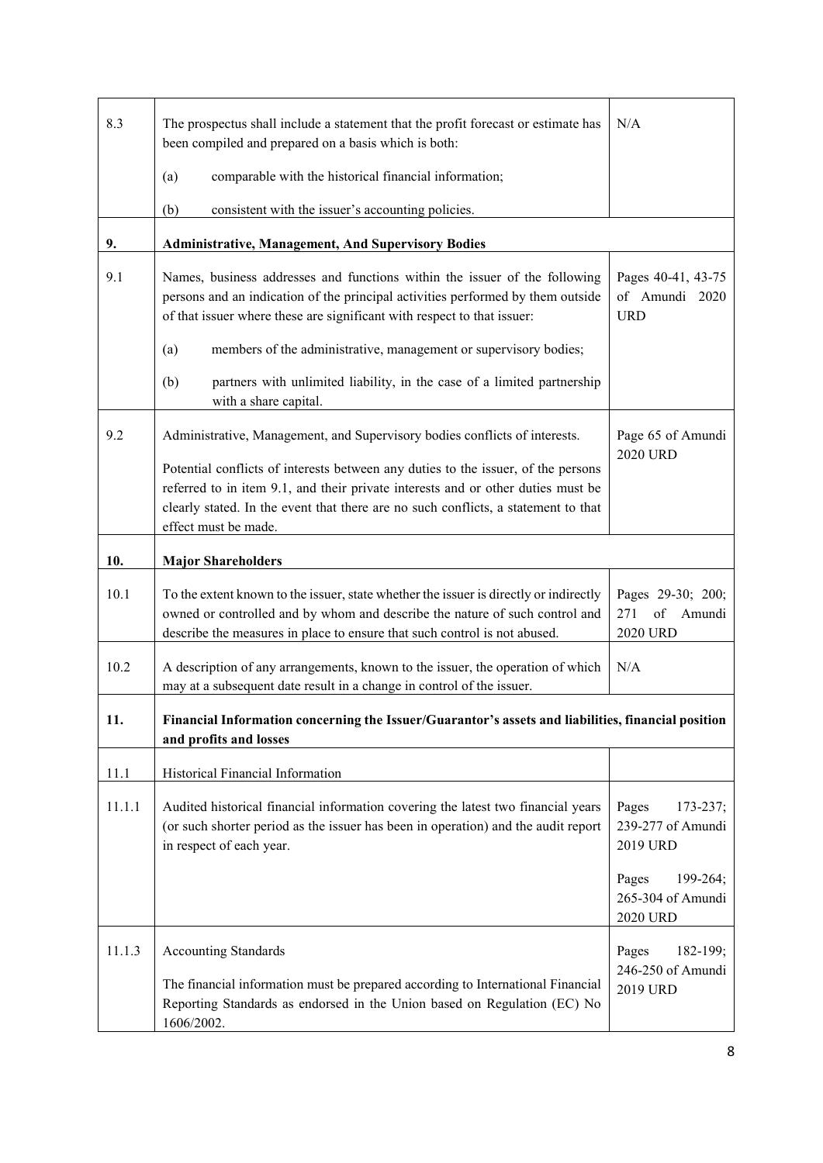| 8.3    | The prospectus shall include a statement that the profit forecast or estimate has<br>been compiled and prepared on a basis which is both:                                                                                                                                           | N/A                                                       |
|--------|-------------------------------------------------------------------------------------------------------------------------------------------------------------------------------------------------------------------------------------------------------------------------------------|-----------------------------------------------------------|
|        | (a)<br>comparable with the historical financial information;                                                                                                                                                                                                                        |                                                           |
|        | consistent with the issuer's accounting policies.<br>(b)                                                                                                                                                                                                                            |                                                           |
| 9.     | <b>Administrative, Management, And Supervisory Bodies</b>                                                                                                                                                                                                                           |                                                           |
| 9.1    | Names, business addresses and functions within the issuer of the following<br>persons and an indication of the principal activities performed by them outside<br>of that issuer where these are significant with respect to that issuer:                                            | Pages 40-41, 43-75<br>of Amundi 2020<br><b>URD</b>        |
|        | members of the administrative, management or supervisory bodies;<br>(a)                                                                                                                                                                                                             |                                                           |
|        | partners with unlimited liability, in the case of a limited partnership<br>(b)<br>with a share capital.                                                                                                                                                                             |                                                           |
| 9.2    | Administrative, Management, and Supervisory bodies conflicts of interests.                                                                                                                                                                                                          | Page 65 of Amundi                                         |
|        | Potential conflicts of interests between any duties to the issuer, of the persons<br>referred to in item 9.1, and their private interests and or other duties must be<br>clearly stated. In the event that there are no such conflicts, a statement to that<br>effect must be made. | 2020 URD                                                  |
| 10.    | <b>Major Shareholders</b>                                                                                                                                                                                                                                                           |                                                           |
| 10.1   | To the extent known to the issuer, state whether the issuer is directly or indirectly<br>owned or controlled and by whom and describe the nature of such control and<br>describe the measures in place to ensure that such control is not abused.                                   | Pages 29-30; 200;<br>of<br>271<br>Amundi<br>2020 URD      |
| 10.2   | A description of any arrangements, known to the issuer, the operation of which<br>may at a subsequent date result in a change in control of the issuer.                                                                                                                             | N/A                                                       |
| 11.    | Financial Information concerning the Issuer/Guarantor's assets and liabilities, financial position<br>and profits and losses                                                                                                                                                        |                                                           |
| 11.1   | Historical Financial Information                                                                                                                                                                                                                                                    |                                                           |
| 11.1.1 | Audited historical financial information covering the latest two financial years<br>(or such shorter period as the issuer has been in operation) and the audit report<br>in respect of each year.                                                                                   | Pages<br>$173 - 237;$<br>239-277 of Amundi<br>2019 URD    |
|        |                                                                                                                                                                                                                                                                                     | Pages<br>199-264;<br>265-304 of Amundi<br><b>2020 URD</b> |
| 11.1.3 | <b>Accounting Standards</b><br>The financial information must be prepared according to International Financial<br>Reporting Standards as endorsed in the Union based on Regulation (EC) No<br>1606/2002.                                                                            | Pages<br>182-199;<br>246-250 of Amundi<br>2019 URD        |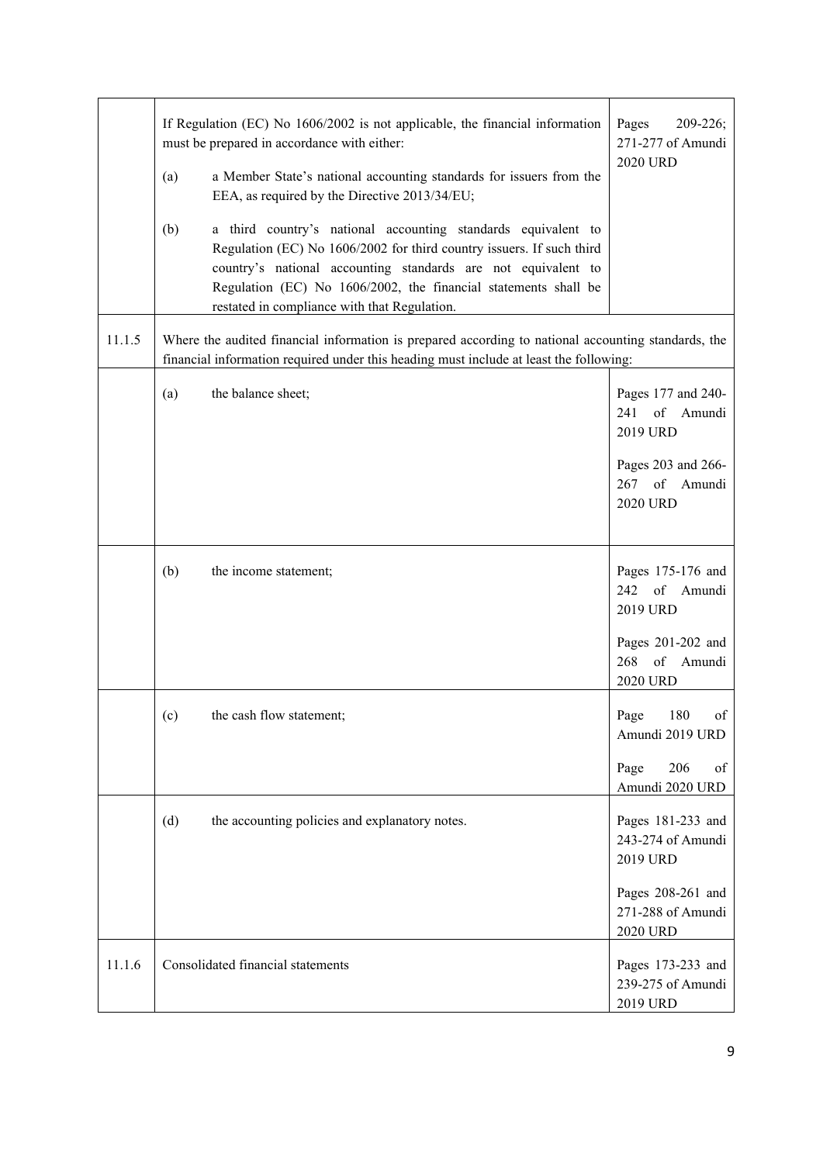|        | If Regulation (EC) No 1606/2002 is not applicable, the financial information<br>must be prepared in accordance with either:<br>a Member State's national accounting standards for issuers from the<br>(a)<br>EEA, as required by the Directive 2013/34/EU;<br>(b)<br>a third country's national accounting standards equivalent to<br>Regulation (EC) No 1606/2002 for third country issuers. If such third<br>country's national accounting standards are not equivalent to<br>Regulation (EC) No 1606/2002, the financial statements shall be<br>restated in compliance with that Regulation. | Pages<br>209-226;<br>271-277 of Amundi<br>2020 URD                                                               |
|--------|-------------------------------------------------------------------------------------------------------------------------------------------------------------------------------------------------------------------------------------------------------------------------------------------------------------------------------------------------------------------------------------------------------------------------------------------------------------------------------------------------------------------------------------------------------------------------------------------------|------------------------------------------------------------------------------------------------------------------|
| 11.1.5 | Where the audited financial information is prepared according to national accounting standards, the<br>financial information required under this heading must include at least the following:                                                                                                                                                                                                                                                                                                                                                                                                   |                                                                                                                  |
|        | the balance sheet;<br>(a)                                                                                                                                                                                                                                                                                                                                                                                                                                                                                                                                                                       | Pages 177 and 240-<br>of<br>241<br>Amundi<br>2019 URD<br>Pages 203 and 266-<br>267 of Amundi<br><b>2020 URD</b>  |
|        | (b)<br>the income statement;                                                                                                                                                                                                                                                                                                                                                                                                                                                                                                                                                                    | Pages 175-176 and<br>242 of<br>Amundi<br>2019 URD<br>Pages 201-202 and<br>268<br>of<br>Amundi<br><b>2020 URD</b> |
|        | the cash flow statement;<br>(c)                                                                                                                                                                                                                                                                                                                                                                                                                                                                                                                                                                 | Page 180<br>of<br>Amundi 2019 URD<br>206<br>Page<br>of<br>Amundi 2020 URD                                        |
|        | the accounting policies and explanatory notes.<br>(d)                                                                                                                                                                                                                                                                                                                                                                                                                                                                                                                                           | Pages 181-233 and<br>243-274 of Amundi<br>2019 URD<br>Pages 208-261 and<br>271-288 of Amundi<br>2020 URD         |
| 11.1.6 | Consolidated financial statements                                                                                                                                                                                                                                                                                                                                                                                                                                                                                                                                                               | Pages 173-233 and<br>239-275 of Amundi<br>2019 URD                                                               |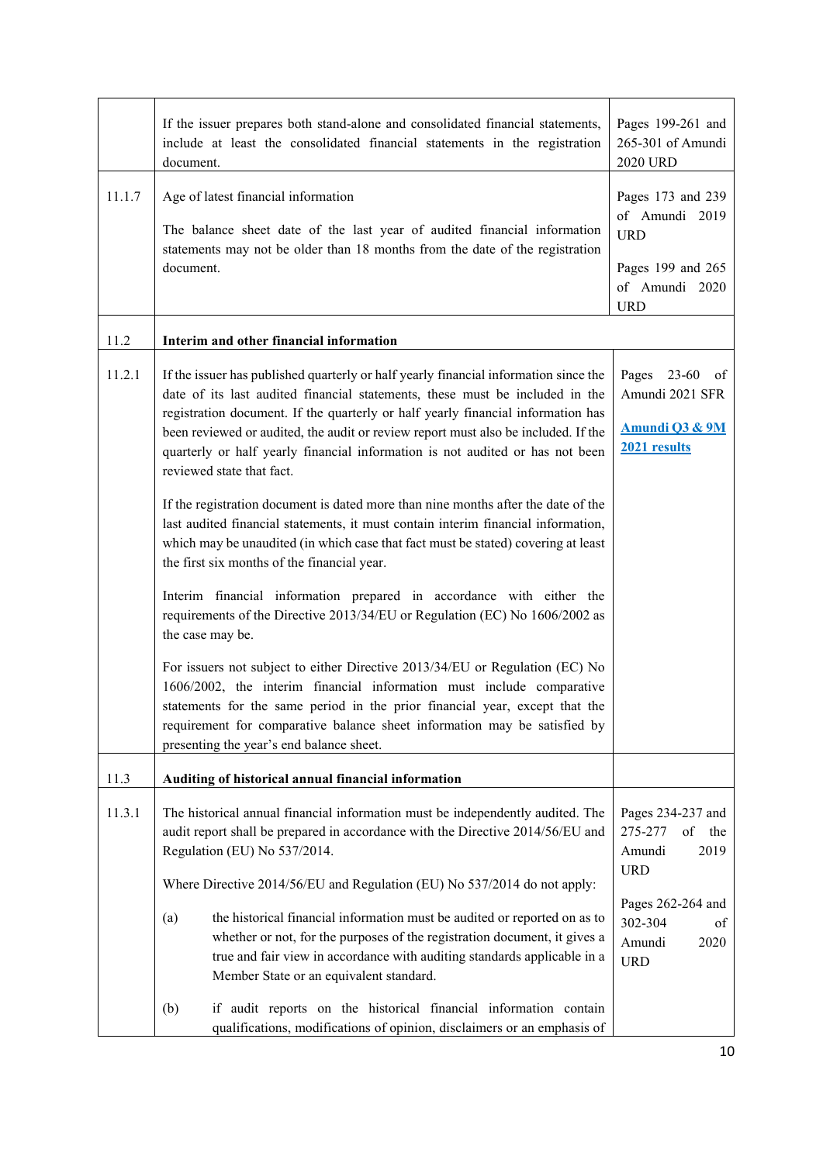|        | If the issuer prepares both stand-alone and consolidated financial statements,<br>include at least the consolidated financial statements in the registration<br>document.                                                                                                                                                                                                                                                                                    | Pages 199-261 and<br>265-301 of Amundi<br>2020 URD                                                                                                                        |
|--------|--------------------------------------------------------------------------------------------------------------------------------------------------------------------------------------------------------------------------------------------------------------------------------------------------------------------------------------------------------------------------------------------------------------------------------------------------------------|---------------------------------------------------------------------------------------------------------------------------------------------------------------------------|
| 11.1.7 | Age of latest financial information<br>The balance sheet date of the last year of audited financial information<br>statements may not be older than 18 months from the date of the registration<br>document.                                                                                                                                                                                                                                                 | Pages 173 and 239<br>of Amundi 2019<br><b>URD</b><br>Pages 199 and 265<br>of Amundi 2020<br><b>URD</b>                                                                    |
| 11.2   | Interim and other financial information                                                                                                                                                                                                                                                                                                                                                                                                                      |                                                                                                                                                                           |
| 11.2.1 | If the issuer has published quarterly or half yearly financial information since the<br>date of its last audited financial statements, these must be included in the<br>registration document. If the quarterly or half yearly financial information has<br>been reviewed or audited, the audit or review report must also be included. If the<br>quarterly or half yearly financial information is not audited or has not been<br>reviewed state that fact. | Pages 23-60<br>of<br>Amundi 2021 SFR<br>Amundi Q3 & 9M<br>2021 results                                                                                                    |
|        | If the registration document is dated more than nine months after the date of the<br>last audited financial statements, it must contain interim financial information,<br>which may be unaudited (in which case that fact must be stated) covering at least<br>the first six months of the financial year.                                                                                                                                                   |                                                                                                                                                                           |
|        | Interim financial information prepared in accordance with either the<br>requirements of the Directive 2013/34/EU or Regulation (EC) No 1606/2002 as<br>the case may be.                                                                                                                                                                                                                                                                                      |                                                                                                                                                                           |
|        | For issuers not subject to either Directive 2013/34/EU or Regulation (EC) No<br>1606/2002, the interim financial information must include comparative<br>statements for the same period in the prior financial year, except that the<br>requirement for comparative balance sheet information may be satisfied by<br>presenting the year's end balance sheet.                                                                                                |                                                                                                                                                                           |
| 11.3   | Auditing of historical annual financial information                                                                                                                                                                                                                                                                                                                                                                                                          |                                                                                                                                                                           |
| 11.3.1 | The historical annual financial information must be independently audited. The<br>audit report shall be prepared in accordance with the Directive 2014/56/EU and<br>Regulation (EU) No 537/2014.<br>Where Directive 2014/56/EU and Regulation (EU) No 537/2014 do not apply:                                                                                                                                                                                 | Pages 234-237 and<br>$% \left( \left( \mathcal{A},\mathcal{A}\right) \right) =\left( \mathcal{A},\mathcal{A}\right)$ of<br>275-277<br>the<br>2019<br>Amundi<br><b>URD</b> |
|        | the historical financial information must be audited or reported on as to<br>(a)<br>whether or not, for the purposes of the registration document, it gives a<br>true and fair view in accordance with auditing standards applicable in a<br>Member State or an equivalent standard.                                                                                                                                                                         | Pages 262-264 and<br>302-304<br>of<br>2020<br>Amundi<br><b>URD</b>                                                                                                        |
|        | (b)<br>if audit reports on the historical financial information contain<br>qualifications, modifications of opinion, disclaimers or an emphasis of                                                                                                                                                                                                                                                                                                           |                                                                                                                                                                           |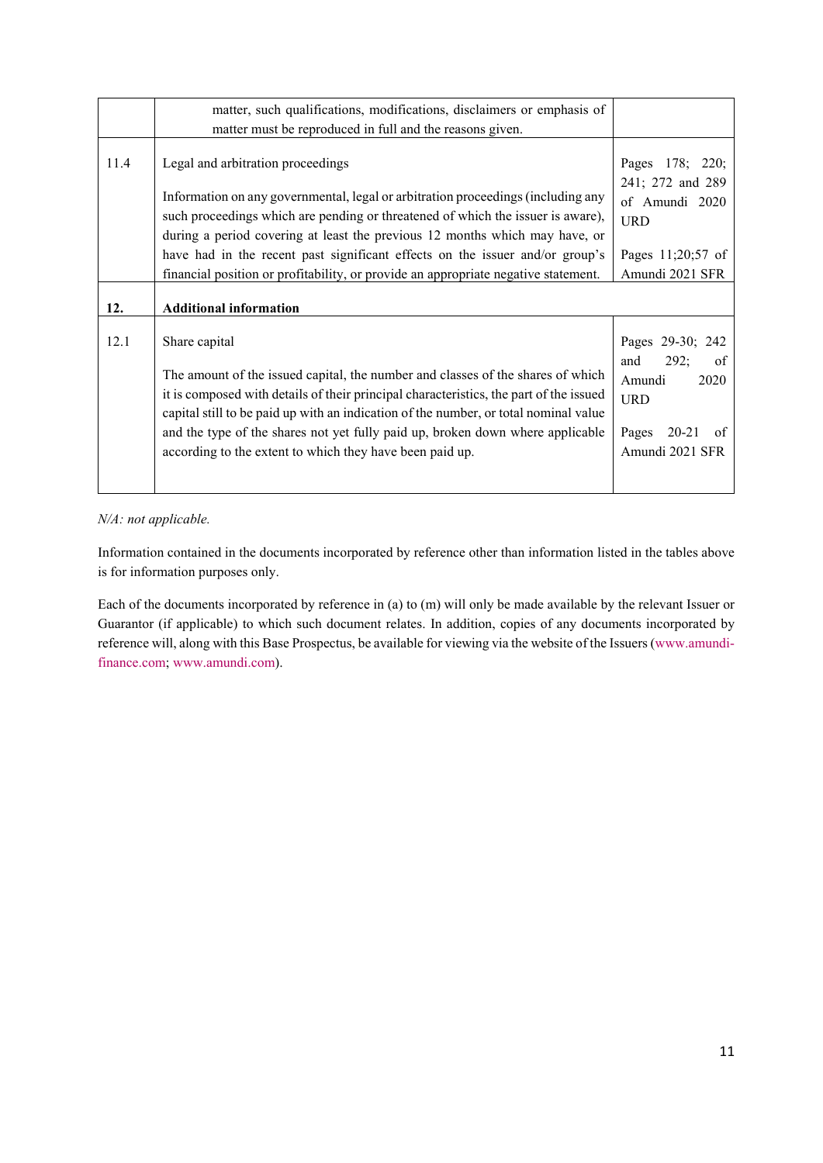|      | matter, such qualifications, modifications, disclaimers or emphasis of<br>matter must be reproduced in full and the reasons given.                                                                                                                                                                                                                                                                                                                            |                                                                                                                  |
|------|---------------------------------------------------------------------------------------------------------------------------------------------------------------------------------------------------------------------------------------------------------------------------------------------------------------------------------------------------------------------------------------------------------------------------------------------------------------|------------------------------------------------------------------------------------------------------------------|
| 11.4 | Legal and arbitration proceedings<br>Information on any governmental, legal or arbitration proceedings (including any<br>such proceedings which are pending or threatened of which the issuer is aware),<br>during a period covering at least the previous 12 months which may have, or<br>have had in the recent past significant effects on the issuer and/or group's<br>financial position or profitability, or provide an appropriate negative statement. | 178; 220;<br>Pages<br>241; 272 and 289<br>of Amundi 2020<br><b>URD</b><br>Pages 11;20;57 of<br>Amundi 2021 SFR   |
| 12.  | <b>Additional information</b>                                                                                                                                                                                                                                                                                                                                                                                                                                 |                                                                                                                  |
| 12.1 | Share capital<br>The amount of the issued capital, the number and classes of the shares of which<br>it is composed with details of their principal characteristics, the part of the issued<br>capital still to be paid up with an indication of the number, or total nominal value<br>and the type of the shares not yet fully paid up, broken down where applicable<br>according to the extent to which they have been paid up.                              | Pages 29-30; 242<br>and<br>292;<br>of<br>Amundi<br>2020<br><b>URD</b><br>20-21<br>Pages<br>of<br>Amundi 2021 SFR |

# *N/A: not applicable.*

Information contained in the documents incorporated by reference other than information listed in the tables above is for information purposes only.

Each of the documents incorporated by reference in (a) to (m) will only be made available by the relevant Issuer or Guarantor (if applicable) to which such document relates. In addition, copies of any documents incorporated by [reference will, along with this Base Prospectus, be available for viewing via the website of the Issuers \(www.amundi](http://www.amundi-finance.com/)finance.com; [www.amundi.com\)](http://www.amundi.com/).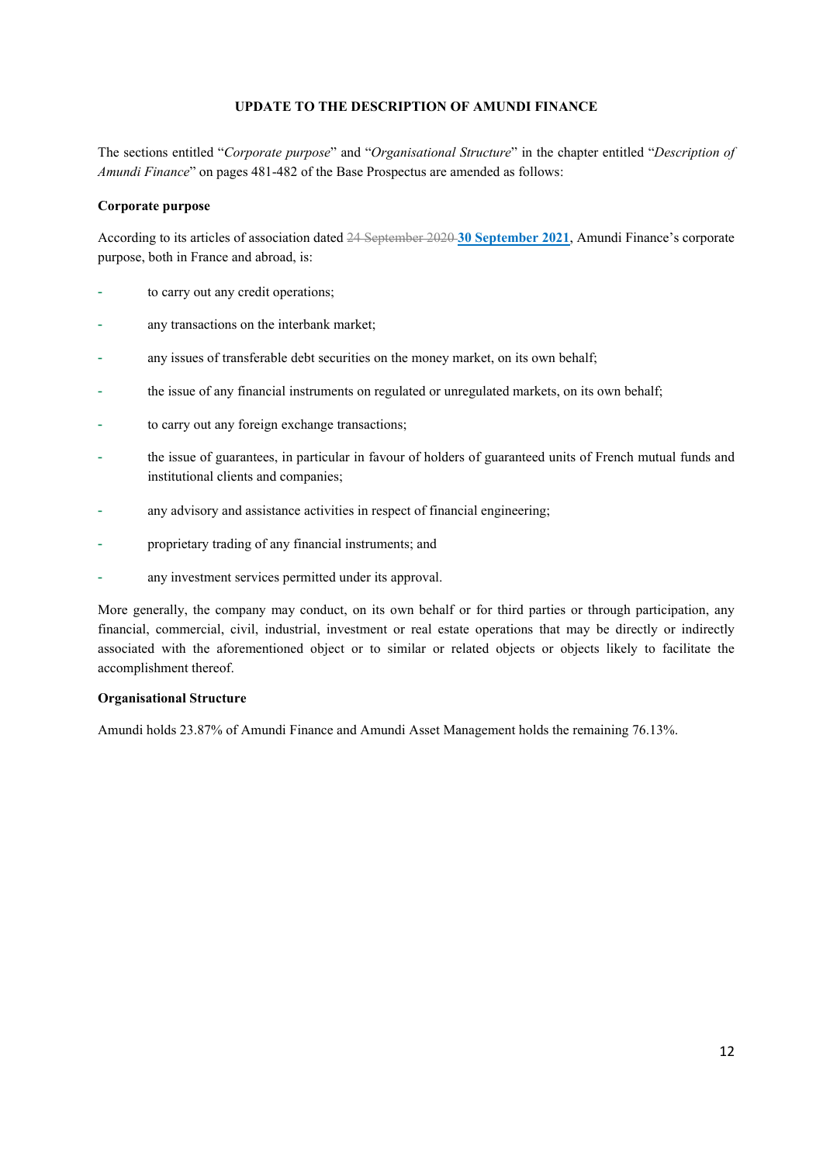#### **UPDATE TO THE DESCRIPTION OF AMUNDI FINANCE**

<span id="page-11-0"></span>The sections entitled "*Corporate purpose*" and "*Organisational Structure*" in the chapter entitled "*Description of Amundi Finance*" on pages 481-482 of the Base Prospectus are amended as follows:

#### **Corporate purpose**

According to its articles of association dated 24 September 2020 **30 September 2021**, Amundi Finance's corporate purpose, both in France and abroad, is:

- to carry out any credit operations;
- any transactions on the interbank market;
- any issues of transferable debt securities on the money market, on its own behalf;
- the issue of any financial instruments on regulated or unregulated markets, on its own behalf;
- to carry out any foreign exchange transactions;
- the issue of guarantees, in particular in favour of holders of guaranteed units of French mutual funds and institutional clients and companies;
- any advisory and assistance activities in respect of financial engineering;
- proprietary trading of any financial instruments; and
- any investment services permitted under its approval.

More generally, the company may conduct, on its own behalf or for third parties or through participation, any financial, commercial, civil, industrial, investment or real estate operations that may be directly or indirectly associated with the aforementioned object or to similar or related objects or objects likely to facilitate the accomplishment thereof.

#### **Organisational Structure**

Amundi holds 23.87% of Amundi Finance and Amundi Asset Management holds the remaining 76.13%.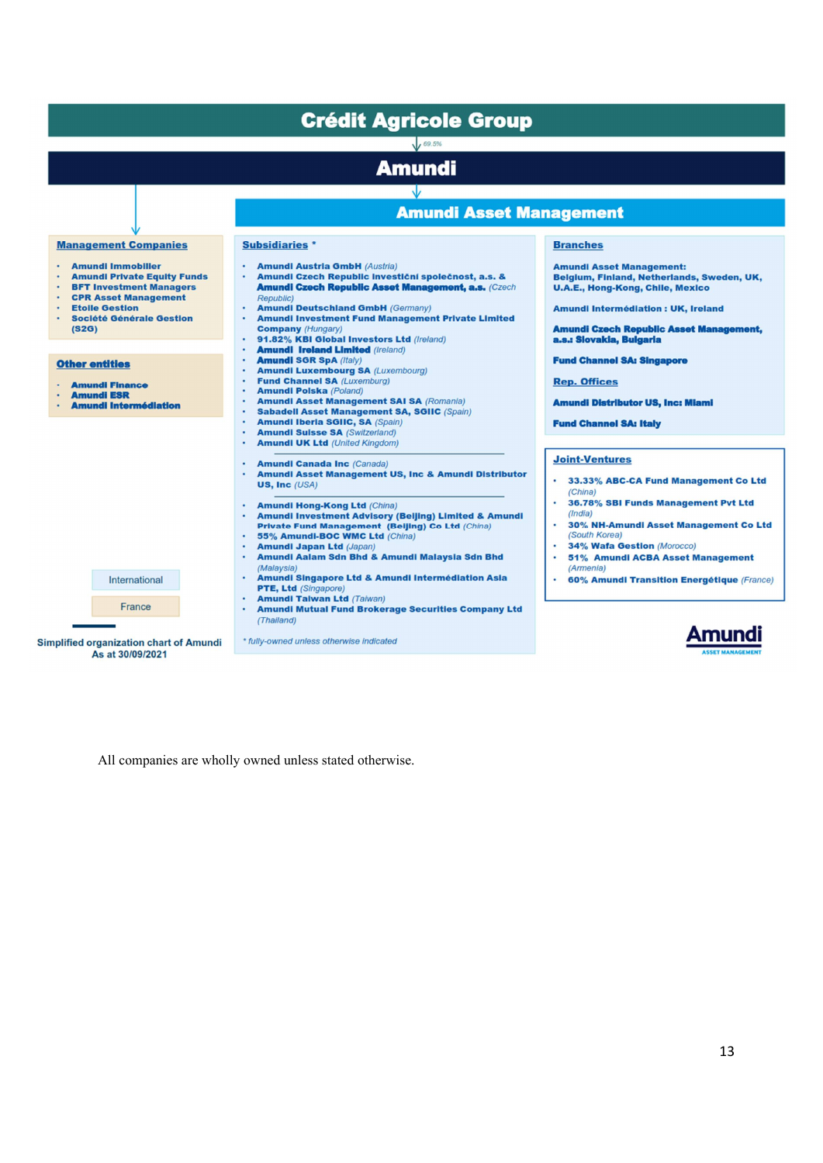| <b>Management Companies</b>                                                                                                                                                                          | <b>Crédit Agricole Group</b><br>69.5%<br><b>Amundi</b><br><b>Amundi Asset Management</b>                                                                                                                                                                                                                                         |                                                                                                                                                                                                                         |
|------------------------------------------------------------------------------------------------------------------------------------------------------------------------------------------------------|----------------------------------------------------------------------------------------------------------------------------------------------------------------------------------------------------------------------------------------------------------------------------------------------------------------------------------|-------------------------------------------------------------------------------------------------------------------------------------------------------------------------------------------------------------------------|
|                                                                                                                                                                                                      |                                                                                                                                                                                                                                                                                                                                  |                                                                                                                                                                                                                         |
|                                                                                                                                                                                                      |                                                                                                                                                                                                                                                                                                                                  |                                                                                                                                                                                                                         |
|                                                                                                                                                                                                      |                                                                                                                                                                                                                                                                                                                                  |                                                                                                                                                                                                                         |
|                                                                                                                                                                                                      |                                                                                                                                                                                                                                                                                                                                  |                                                                                                                                                                                                                         |
|                                                                                                                                                                                                      | <b>Subsidiaries</b> *                                                                                                                                                                                                                                                                                                            | <b>Branches</b>                                                                                                                                                                                                         |
| <b>Amundi Immobilier</b><br><b>Amundi Private Equity Funds</b><br><b>BFT Investment Managers</b><br><b>CPR Asset Management</b><br><b>Etoile Gestion</b><br><b>Société Générale Gestion</b><br>(S2G) | <b>Amundi Austria GmbH (Austria)</b><br>Amundi Czech Republic investiční společnost, a.s. &<br>٠<br><b>Amundi Czech Republic Asset Management, a.s. (Czech</b><br><b>Republic)</b><br><b>Amundi Deutschland GmbH (Germany)</b><br>٠<br><b>Amundi Investment Fund Management Private Limited</b><br>٠<br><b>Company (Hungary)</b> | <b>Amundi Asset Management:</b><br>Belgium, Finland, Netherlands, Sweden, UK,<br><b>U.A.E., Hong-Kong, Chile, Mexico</b><br><b>Amundi Intermédiation: UK, Ireland</b><br><b>Amundi Czech Republic Asset Management,</b> |
|                                                                                                                                                                                                      | 91.82% KBI Global Investors Ltd (Ireland)<br>٠<br><b>Amundi Ireland Limited (Ireland)</b><br>٠                                                                                                                                                                                                                                   | a.s.: Slovakia, Bulgaria                                                                                                                                                                                                |
| <b>Other entities</b><br><b>Amundi Finance</b><br><b>Amundi ESR</b><br><b>Amundi Intermédiation</b>                                                                                                  | <b>Amundi SGR SpA (Italy)</b><br><b>Amundi Luxembourg SA (Luxembourg)</b><br>٠<br><b>Fund Channel SA (Luxemburg)</b><br>٠<br><b>Amundi Polska (Poland)</b><br>٠<br><b>Amundi Asset Management SAI SA (Romania)</b><br><b>Sabadell Asset Management SA, SGIIC (Spain)</b><br>٠                                                    | <b>Fund Channel SA: Singapore</b><br><b>Rep. Offices</b><br><b>Amundi Distributor US, Inc: Miami</b>                                                                                                                    |
|                                                                                                                                                                                                      | <b>Amundi Iberia SGIIC, SA (Spain)</b><br>٠<br><b>Amundi Suisse SA (Switzerland)</b><br><b>Amundi UK Ltd</b> (United Kingdom)                                                                                                                                                                                                    | <b>Fund Channel SA: Italy</b>                                                                                                                                                                                           |
|                                                                                                                                                                                                      | <b>Amundi Canada Inc (Canada)</b><br>Amundi Asset Management US, Inc & Amundi Distributor<br>US, Inc $(USA)$                                                                                                                                                                                                                     | <b>Joint-Ventures</b><br>33.33% ABC-CA Fund Management Co Ltd<br>(China)                                                                                                                                                |
|                                                                                                                                                                                                      | <b>Amundi Hong-Kong Ltd (China)</b><br>٠<br><b>Amundi Investment Advisory (Beljing) Limited &amp; Amundi</b><br>Private Fund Management (Beijing) Co Ltd (China)<br>55% Amundi-BOC WMC Ltd (China)<br><b>Amundi Japan Ltd (Japan)</b><br>Amundi Aalam Sdn Bhd & Amundi Malaysia Sdn Bhd                                          | 36.78% SBI Funds Management Pvt Ltd<br>(India)<br>30% NH-Amundi Asset Management Co Ltd<br>(South Korea)<br>34% Wafa Gestion (Morocco)<br>51% Amundi ACBA Asset Management                                              |
| International                                                                                                                                                                                        | (Malaysia)<br>Amundi Singapore Ltd & Amundi Intermédiation Asia<br>٠<br>PTE, Ltd (Singapore)<br><b>Amundi Taiwan Ltd (Taiwan)</b><br>٠                                                                                                                                                                                           | (Armenia)<br>60% Amundi Transition Energétique (France)                                                                                                                                                                 |
| France<br><b>Simplified organization chart of Amundi</b>                                                                                                                                             | <b>Amundi Mutual Fund Brokerage Securities Company Ltd</b><br>٠<br>(Thailand)<br>* fully-owned unless otherwise indicated                                                                                                                                                                                                        |                                                                                                                                                                                                                         |

All companies are wholly owned unless stated otherwise.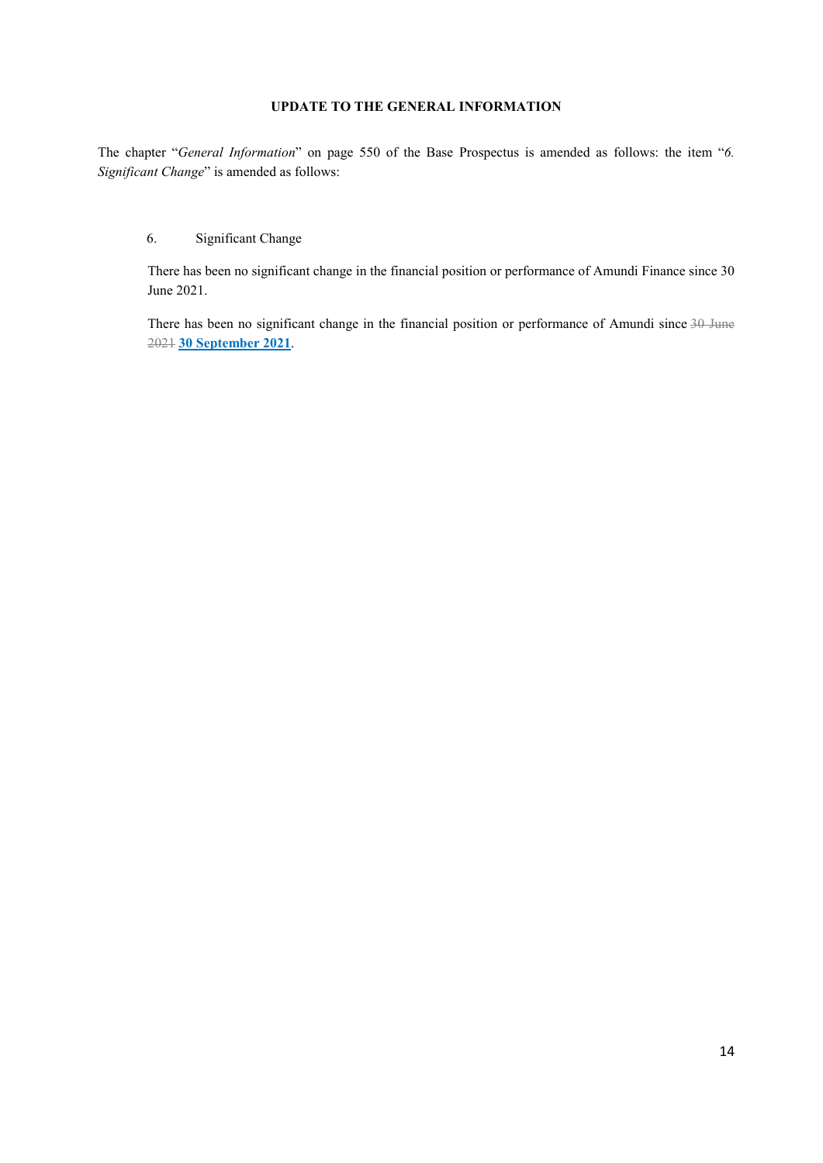# **UPDATE TO THE GENERAL INFORMATION**

<span id="page-13-0"></span>The chapter "*General Information*" on page 550 of the Base Prospectus is amended as follows: the item "*6. Significant Change*" is amended as follows:

# 6. Significant Change

There has been no significant change in the financial position or performance of Amundi Finance since 30 June 2021.

There has been no significant change in the financial position or performance of Amundi since 30 June 2021 **30 September 2021**.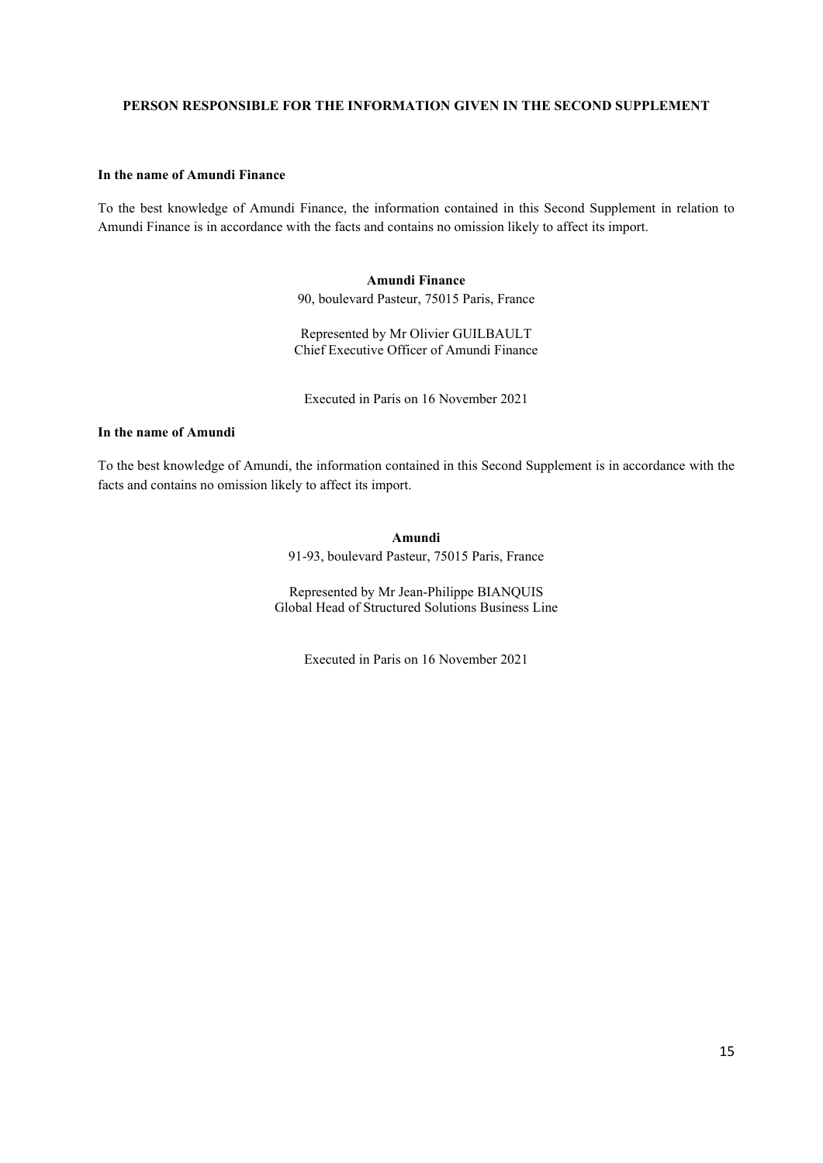#### <span id="page-14-0"></span>**PERSON RESPONSIBLE FOR THE INFORMATION GIVEN IN THE SECOND SUPPLEMENT**

#### **In the name of Amundi Finance**

To the best knowledge of Amundi Finance, the information contained in this Second Supplement in relation to Amundi Finance is in accordance with the facts and contains no omission likely to affect its import.

## **Amundi Finance**

90, boulevard Pasteur, 75015 Paris, France

Represented by Mr Olivier GUILBAULT Chief Executive Officer of Amundi Finance

Executed in Paris on 16 November 2021

# **In the name of Amundi**

To the best knowledge of Amundi, the information contained in this Second Supplement is in accordance with the facts and contains no omission likely to affect its import.

> **Amundi**  91-93, boulevard Pasteur, 75015 Paris, France

Represented by Mr Jean-Philippe BIANQUIS Global Head of Structured Solutions Business Line

Executed in Paris on 16 November 2021